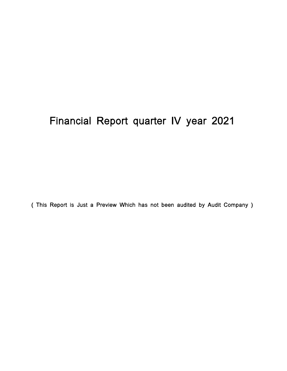# Financial Report quarter IV year 2021

( This Report is Just a Preview Which has not been audited by Audit Company )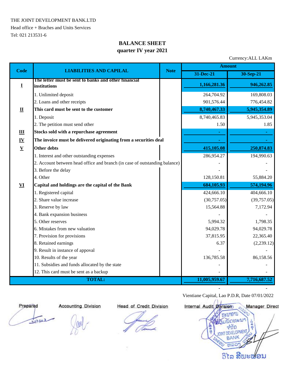THE JOINT DEVELOPMENT BANK.LTD

Head office + Braches and Units Services Tel: 021 213531-6

## **BALANCE SHEET quarter IV year 2021**

Currency:ALL LAKm

| <b>Code</b>               | <b>LIABILITIES AND CAPILAL</b>                                             | <b>Note</b> | <b>Amount</b> |              |  |
|---------------------------|----------------------------------------------------------------------------|-------------|---------------|--------------|--|
|                           |                                                                            |             | 31-Dec-21     | 30-Sep-21    |  |
| I                         | The letter must be sent to banks and other financial<br>institutions       |             | 1,166,281.36  | 946,262.85   |  |
|                           | 1. Unlimited deposit                                                       |             | 264,704.92    | 169,808.03   |  |
|                           | 2. Loans and other receipts                                                |             | 901,576.44    | 776,454.82   |  |
| $\mathbf{I}$              | This card must be sent to the customer                                     |             | 8,740,467.33  | 5,945,354.89 |  |
|                           | 1. Deposit                                                                 |             | 8,740,465.83  | 5,945,353.04 |  |
|                           | 2. The petition must send other                                            |             | 1.50          | 1.85         |  |
| Ш                         | Stocks sold with a repurchase agreement                                    |             | $\sim$        | $\sim 10$    |  |
| $\underline{\mathbf{IV}}$ | The invoice must be delivered originating from a securities deal           |             |               |              |  |
| $\underline{\mathbf{V}}$  | Other debts                                                                |             | 415,105.08    | 250,874.83   |  |
|                           | 1. Interest and other outstanding expenses                                 |             | 286,954.27    | 194,990.63   |  |
|                           | 2. Account between head office and branch (in case of outstanding balance) |             |               |              |  |
|                           | 3. Before the delay                                                        |             |               |              |  |
|                           | 4. Other                                                                   |             | 128,150.81    | 55,884.20    |  |
| VI                        | Capital and holdings are the capital of the Bank                           |             | 684,105.93    | 574,194.96   |  |
|                           | 1. Registered capital                                                      |             | 424,666.10    | 404,666.10   |  |
|                           | 2. Share value increase                                                    |             | (30,757.05)   | (39,757.05)  |  |
|                           | 3. Reserve by law                                                          |             | 15,564.88     | 7,172.94     |  |
|                           | 4. Bank expansion business                                                 |             |               |              |  |
|                           | 5. Other reserves                                                          |             | 5,994.32      | 1,798.35     |  |
|                           | 6. Mistakes from new valuation                                             |             | 94,029.78     | 94,029.78    |  |
|                           | 7. Provision for provisions                                                |             | 37,815.95     | 22,365.40    |  |
|                           | 8. Retained earnings                                                       |             | 6.37          | (2,239.12)   |  |
|                           | 9. Result in instance of appoval                                           |             |               |              |  |
|                           | 10. Results of the year                                                    |             | 136,785.58    | 86,158.56    |  |
|                           | 11. Subsidies and funds allocated by the state                             |             |               |              |  |
|                           | 12. This card must be sent as a backup                                     |             | 11,005,959.67 |              |  |
|                           | <b>TOTAL:</b>                                                              |             |               | 7,716,687.52 |  |

tuna

 Vientiane Capital, Lao P.D.R, Date 07/01/2022  **Prepared Accounting Division Head of Credit Division Internal Audit Division Manager Director** กะบาลาม CUIL จากด **OPMEN** ANK R ms ວິໄລ ສີພະຟອນ

 **- -**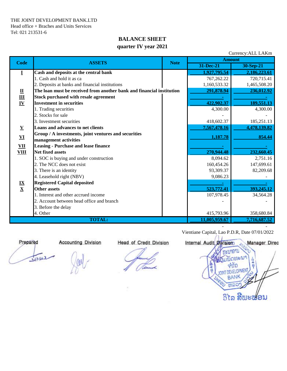## **BALANCE SHEET quarter IV year 2021**

| Currency: ALL LAKM                           |                                                                       |               |               |              |  |  |  |
|----------------------------------------------|-----------------------------------------------------------------------|---------------|---------------|--------------|--|--|--|
| <b>Code</b>                                  | <b>ASSETS</b>                                                         | <b>Note</b>   | <b>Amount</b> |              |  |  |  |
|                                              |                                                                       |               | 31-Dec-21     | 30-Sep-21    |  |  |  |
| I                                            | Cash and deposits at the central bank                                 |               | 1,927,795.54  | 2,186,223.61 |  |  |  |
|                                              | 1. Cash and hold it as ca                                             |               | 767, 262. 22  | 720,715.41   |  |  |  |
|                                              | 2. Deposits at banks and financial institutions                       |               | 1,160,533.32  | 1,465,508.20 |  |  |  |
| $\overline{\mathbf{u}}$                      | The loan must be received from another bank and financial institution | 291,878.94    | 236,012.92    |              |  |  |  |
|                                              | <b>Stock purchased with resale agreement</b>                          |               |               |              |  |  |  |
| $\frac{\mathbf{III}}{\mathbf{IV}}$           | <b>Investment in securities</b>                                       |               | 422,902.37    | 189,551.13   |  |  |  |
|                                              | 1. Trading securities                                                 |               | 4,300.00      | 4,300.00     |  |  |  |
|                                              | 2. Stocks for sale                                                    |               |               |              |  |  |  |
|                                              | 3. Investment securities                                              |               | 418,602.37    | 185,251.13   |  |  |  |
| $\underline{\mathbf{V}}$                     | Loans and advances to net clients                                     |               | 7,567,478.16  | 4,478,139.82 |  |  |  |
|                                              | Group / A investments, joint ventures and securities                  |               | 1,187.78      | 854.44       |  |  |  |
| ${\bf VI}$                                   | management activities                                                 |               |               |              |  |  |  |
| $\underline{\mathbf{V}}\mathbf{I}\mathbf{I}$ | <b>Leasing - Purchase and lease finance</b>                           |               |               |              |  |  |  |
| <b>VIII</b>                                  | <b>Net fixed assets</b>                                               |               | 270,944.48    | 232,660.45   |  |  |  |
| $\frac{IX}{X}$                               | 1. SOC is buying and under construction                               |               | 8,094.62      | 2,751.16     |  |  |  |
|                                              | 2. The NCC does not exist                                             |               | 160,454.26    | 147,699.61   |  |  |  |
|                                              | 3. There is an identity                                               |               | 93,309.37     | 82,209.68    |  |  |  |
|                                              | 4. Leasehold right (NBV)                                              |               | 9,086.23      |              |  |  |  |
|                                              | <b>Registered Capital deposited</b>                                   |               |               |              |  |  |  |
|                                              | <b>Other assets</b>                                                   |               | 523,772.41    | 393,245.12   |  |  |  |
|                                              | 1. Interest and other accrued income                                  |               | 107,978.45    | 34,564.28    |  |  |  |
|                                              | 2. Account between head office and branch                             |               |               |              |  |  |  |
|                                              | 3. Before the delay                                                   |               |               |              |  |  |  |
|                                              | 4. Other                                                              |               | 415,793.96    | 358,680.84   |  |  |  |
|                                              | <b>TOTAL:</b>                                                         | 11,005,959.67 | 7,716,687.52  |              |  |  |  |
|                                              |                                                                       |               |               |              |  |  |  |

Vientiane Capital, Lao P.D.R, Date 07/01/2022

Currency:<br>Albertus

June

 **Prepared Accounting Division Head of Credit Division Internal Audit Division Manager Director** าถาบ จากิด **DEVELOPMEN BANK** ຫລວ ວິໄລ ສີພະຟອນ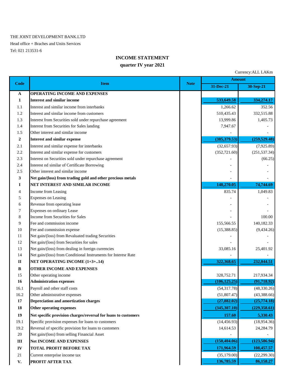#### THE JOINT DEVELOPMENT BANK.LTD

Head office + Braches and Units Services Tel: 021 213531-6

### **INCOME STATEMENT**

#### **quarter IV year 2021**

Currency:ALL LAKm **31-Dec-21 30-Sep-21 A OPERATING INCOME AND EXPENSES 1 Interest and similar income** 533,649.58 **533,649.58** 533,649.58 **533,649.58** 533,649.58 **533**,649.58 **533**,649.58 **533**,649.58 **533**,649.58 **533**,649.58 **533**,649.58 **533**,649.58 **533**,649.58 **533**,649.58 **533**,649.58 1.1 Interest and similar income from interbanks 1,266.62 352.56 1.2 Interest and similar income from customers 510,435.43 332,515.88 1.3 Interest from Securities sold under repurchase agreement 13,999.86 1,405.73 1.4 Interest from Securities for Sales landing 7,947.67 1.5 Other interest and similar income **2 Interest and similar expense (385,379.53) (259,529.48)** 2.1 Interest and similar expense for interbanks (32,657.93) (7,925.89) (7,925.89) 2.2 Interest and similar expense for customers (352,721.60) (251,537.34) 2.3 Interest on Securities sold under repurchase agreement (66.25) 2.4 Interest nd similar of Certificate Borrowing 2.5 Other interest and similar income  $\overline{a}$ **3 Net gain/(loss) from trading gold and other precious metals I NET INTEREST AND SIMILAR INCOME** 148,270.05 148,270.05 74,744.69 4 Income from Leasing 835.74 1,049.83 5 Expenses on Leasing 6 Revenue from operating lease 7 Expenses on ordinary Lease 8 Income from Securities for Sales 4.100.00 9 Fee and commission income 155,566.55 140,182.33 10 Fee and commission expense (15,388.85) (9,434.26) 11 Net gain/(loss) from Revaluated trading Securities 12 Net gain/(loss) from Securities for sales 13 Net gain/(loss) from dealing in foreign currencies 33,085.16 33,085.16 25,401.92 14 Net gain/(loss) from Conditional Instruments for Interesr Rate **II NET OPERATING INCOME** (1+3+..14) **322,068.65** 322,368.65 322,368.65 322,044.51 **B OTHER INCOME AND EXPENSES** 15 Other operating income 328,752.71 217,934.34 **16 Administration expenses** (106,125.25) (91,718.92) 16.1 Payroll and other staff costs (54,317.78) (48,330.26) 16.2 Other administrative expenses (51,807.47) (43,388.66) **17 Depreciation and amortization charges (27,882.02) (25,774.18) 18 Other operating expenses** (345,307.10) (229,358.61) **19 Net specific provision charges/reversal for loans to customers** 157.60 **157.60** 5,330.43 19.1 Specific provision expenses for loans to customers (14,456.93) (18,954.36) 19.2 Reversal of specific provision for loans to customers 14,614.53 14,614.53 24,284.79  $20$  Net gain/(loss) from selling Financial Asset **III Net INCOME AND EXPENSES (150,404.06) (123,586.94) IV TOTAL PROFIT BEFORE TAX** 171,964.59 **108,457.57** 21 Current enterprise income tax (35,179.00) (22,299.30) **Amount Code Item Note**

**V. PROFIT AFTER TAX** 86,158.27